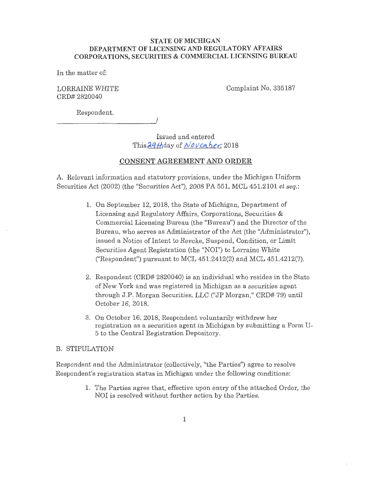#### **STATE OF MICHIGAN DEPARTMENT OF LICENSING AND REGULATORY AFFAIRS CORPORATIONS, SECURITIES** & **COMMERCIAL LICENSING BUREAU**

In the matter of:

LORRAINE WHITE CRD# 2820040

Complaint No. 335187

Respondent.

------------~/

Issued and entered This 29th day of *November*, 2018

### **CONSENT AGREEMENT AND ORDER**

A. Relevant information and statutory provisions, under the Michigan Uniform Securities Act (2002) (the "Securities Act"), 2008 PA 551, MCL 451.2101 *et seq.:* 

- 1. On September 12, 2018, the State of Michigan, Department of Licensing and Regulatory Affairs, Corporations, Securities & Commercial Licensing Bureau (the "Bureau"') and the Director of the Bureau, who serves as Administrator of the Act (the "Administrator"), issued a Notice of Intent to Revoke, Suspend, Condition, or Limit Securities Agent Registration (the "NOI") to Lorraine White ("Respondent") pursuant to MCL  $451.2412(2)$  and MCL  $451.4212(7)$ .
- 2. Respondent (CRD# 2820040) is an individual who resides in the State of New York and was registered in Michigan as a securities agent through J.P. Morgan Securities, LLC ("JP Morgan," CRD# 79) until October 16, 2018.
- 3. On October 16, 2018, Respondent voluntarily withdrew her registration as a securities agent in Michigan by submitting a Form U-5 to the Central Registration Depository.

#### B. STIPULATION

Respondent and the Administrator (collectively, "the Parties") agree to resolve Respondent's registration status in Michigan under the following conditions:

> 1. The Parties agree that, effective upon entry of the attached Order, the NOI is resolved without further action by the Parties.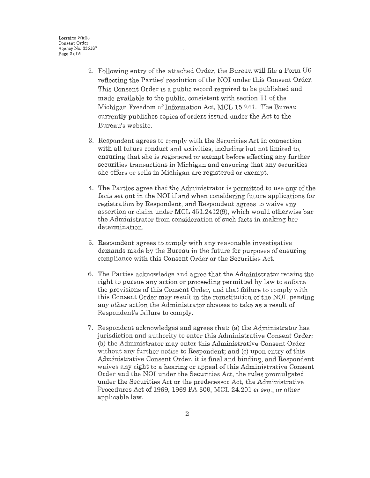Lorraine White Consent Order Agency No. 335187 Page 2 of 5

- 2. Following entry of the attached Order, the Bureau will file a Form U6 reflecting the Parties' resolution of the NOI under this Consent Order. This Consent Order is a public record required to be published and made available to the public, consistent with section 11 of the Michigan Freedom of Information Act, MCL 15.241. The Bureau currently publishes copies of orders issued under the Act to the Bureau's website.
- 3. Respondent agrees to comply with the Securities Act in connection with all future conduct and activities, including but not limited to, ensuring that she is registered or exempt before effecting any further securities transactions in Michigan and ensuring that any securities she offers or sells in Michigan are registered or exempt.
- 4. The Parties agree that the Administrator is permitted to use any of the facts set out in the NOI if and when considering future applications for registration by Respondent, and Respondent agrees to waive any assertion or claim under MCL  $451.2412(9)$ , which would otherwise bar the Administrator from consideration of such facts in making her determination.
- 5. Respondent agrees to comply with any reasonable investigative demands made by the Bureau in the future for purposes of ensuring compliance with this Consent Order or the Securities Act.
- 6. The Parties acknowledge and agree that the Administrator retains the tight to pursue any action or proceeding permitted by law to enforce the provisions of this Consent Order, and that failure to comply with this Consent Order may result in the reinstitution of the NOI, pending any other action the Administrator chooses to take as a result of Respondent's failure to comply.
- 7. Respondent acknowledges and agrees that: (a) the Administrator has jurisdiction and authority to enter this Administrative Consent Order; (b) the Administrator may enter this Administrative Consent Order without any further notice to Respondent; and (c) upon entry of this Administrative Consent Order, it is final and binding, and Respondent waives any right to a hearing or appeal of this Administrative Consent Order and the NOI under the Securities Act, the rules promulgated under the Securities Act or the predecessor Act, the Administrative Procedures Act of 1969, 1969 PA 306, MCL 24.201 *et seq.,* or other applicable law.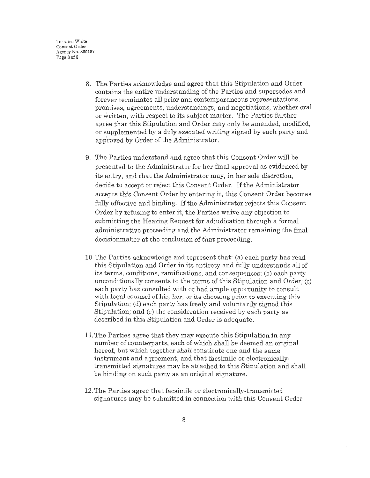Lorraine White Consent Order Agency No. 335187 Page 3 of 6

- 8. The Parties acknowledge and agree that this Stipulation and Order contains the entire understanding of the Parties and supersedes and forever terminates all prior and contemporaneous representations, promises, agreements, understandings, and negotiations, whether oral or written, with respect to its subject matter. The Parties further agree that this Stipulation and Order may only be amended, modified, or supplemented by a duly executed writing signed by each party and approved by Order of the Administrator.
- 9. The Parties understand and agree that this Consent Order will be presented to the Administrator for her final approval as evidenced by its entry, and that the Administrator may, in her sole discretion, decide to accept or reject this Consent Order. If the Administrator accepts this Consent Order by entering it, this Consent Order becomes fully effective and binding. If the Administrator rejects this Consent Order by refusing to enter it, the Parties waive any objection to submitting the Hearing Request for adjudication through a formal administrative proceeding and the Administrator remaining the final decisionmaker at the conclusion of that proceeding.
- 10. The Parties acknowledge and represent that: (a) each party has read this Stipulation and Order in its entirety and fully understands all of its terms, conditions, ramifications, and consequences; (b) each party unconditionally consents to the terms of this Stipulation and Order; (c) each party has consulted with or had ample opportunity to consult with legal counsel of his, her, or its choosing prior to executing this Stipulation; (d) each party has freely and voluntarily signed this Stipulation; and (e) the consideration received by each party as described in this Stipulation and Order is adequate.
- 11. The Parties agree that they may execute this Stipulation in any number of counterparts, each of which shall be deemed an original hereof, but which together shall constitute one and the same instrument and agreement, and that facsimile or electronicallytransmitted signatures may be attached to this Stipulation and shall be binding on such party as an original signature.
- 12. The Parties agree that facsimile or electronically-transmitted signatures may be submitted in connection with this Consent Order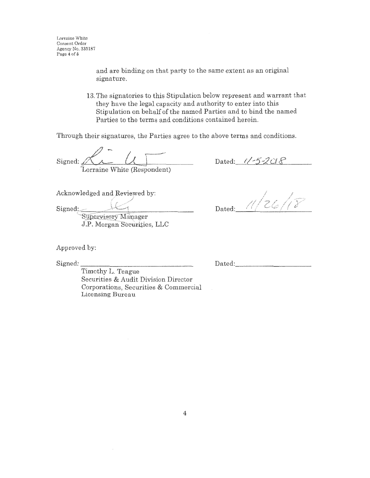and are binding on that party to the same extent as an original signature.

13. The signatories to this Stipulation below represent and warrant that they have the legal capacity and authority to enter into this Stipulation on behalf of the named Parties and to bind the named Parties to the terms and conditions contained herein.

Through their signatures, the Parties agree to the above terms and conditions.

Signed:  $A \cup A$ orraine White (Respondent)

Dated:  $1/-5-208$ Dated: 11/26/18

Acknowledged and Reviewed by:

Signed:

Supervisory Manager J.P. Morgan Securities, LLC

Approved by:

Signed:

Timothy L. Teague Securities & Audit Division Director Corporations, Securities & Commercial Licensing Bureau

Dated: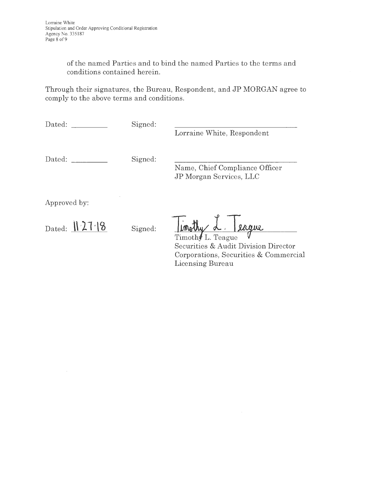of the named Parties and to bind the named Parties to the terms and conditions contained herein.

Through their signatures, the Bureau, Respondent, and JP MORGAN agree to comply to the above terms and conditions.

| Dated:         | Signed: | Lorraine White, Respondent                                |
|----------------|---------|-----------------------------------------------------------|
| Dated:         | Signed: | Name, Chief Compliance Officer<br>JP Morgan Services, LLC |
| Approved by:   |         |                                                           |
| Dated: $127.8$ | Signed: | inothy <u>L. Ieague</u>                                   |

Timoth L. Teague  $V$ Securities & Audit Division Director Corporations, Securities & Commercial Licensing Bureau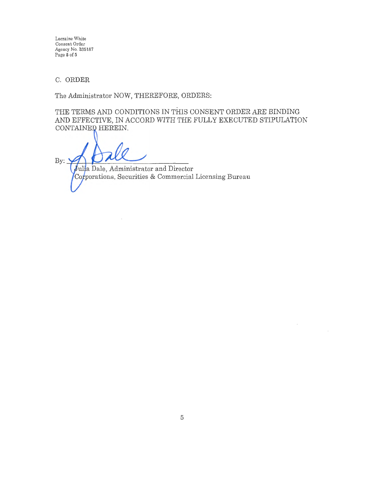Lorraine White Consent Order Agency No. 335187 Page **5** of **5** 

C. ORDER

The Administrator NOW, THEREFORE, ORDERS:

THE TERMS AND CONDITIONS IN THIS CONSENT ORDER ARE BINDING AND EFFECTIVE, IN ACCORD WITH THE FULLY EXECUTED STIPULATION CONTAINED HEREIN.

 $By:$ Julia Dale, Administrator and Director Corporations, Securities & Commercial Licensing Bureau

 $\cdot$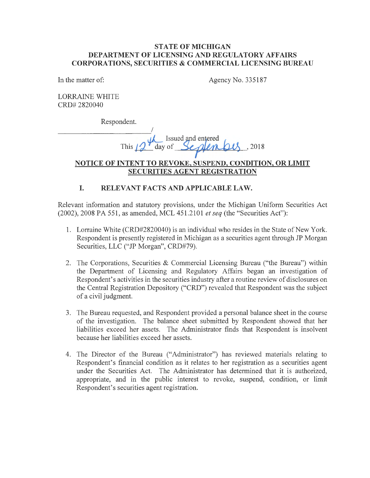## **STATE OF MICHIGAN DEPARTMENT OF LICENSING AND REGULATORY AFFAIRS CORPORATIONS, SECURITIES & COMMERCIAL LICENSING BUREAU**

In the matter of:

Agency No. 335187

LORRAINE WHITE CRD# 2820040

Respondent.

--------- I - - -  $\frac{1}{2}$  $T_{\text{max}}$  day of  $\frac{S}{S}$   $\frac{1}{2018}$ ,  $2018$ 

# **NOTICE OF INTENT TO REVOKE, SUSPEND, CONDITION, OR LIMIT SECURITIES AGENT REGISTRATION**

# **I. RELEVANT FACTS AND APPLICABLE LAW.**

Relevant information and statutory provisions, under the Michigan Uniform Securities Act (2002), 2008 PA 551, as amended, MCL 451.2101 *et seq* (the "Securities Act"):

- 1. Lorraine White (CRD#2820040) is an individual who resides in the State of New York. Respondent is presently registered in Michigan as a securities agent through JP Morgan Securities, LLC ("JP Morgan", CRD#79).
- 2. The Corporations, Securities & Commercial Licensing Bureau ("the Bureau") within the Department of Licensing and Regulatory Affairs began an investigation of Respondent's activities in the securities industry after a routine review of disclosures on the Central Registration Depository ("CRD") revealed that Respondent was the subject of a civil judgment.
- 3. The Bureau requested, and Respondent provided a personal balance sheet in the course of the investigation. The balance sheet submitted by Respondent showed that her liabilities exceed her assets. The Administrator finds that Respondent is insolvent because her liabilities exceed her assets.
- 4. The Director of the Bureau ("Administrator") has reviewed materials relating to Respondent's financial condition as it relates to her registration as a securities agent under the Securities Act. The Administrator has determined that it is authorized, appropriate, and in the public interest to revoke, suspend, condition, or limit Respondent's securities agent registration.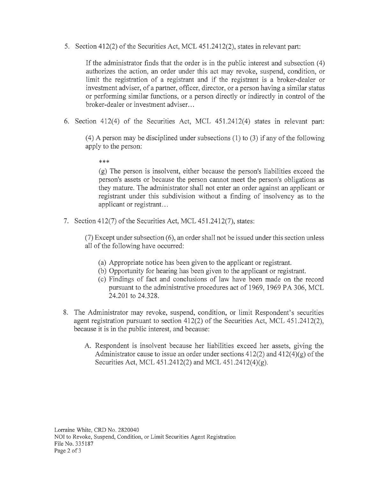5. Section 412(2) of the Securities Act, MCL 451.2412(2), states in relevant part:

If the administrator finds that the order is in the public interest and subsection (4) authorizes the action, an order under this act may revoke, suspend, condition, or limit the registration of a registrant and if the registrant is a broker-dealer or investment adviser, of a partner, officer, director, or a person having a similar status or performing similar functions, or a person directly or indirectly in control of the broker-dealer or investment adviser. ..

6. Section 412(4) of the Securities Act, MCL 451.2412(4) states in relevant part:

 $(4)$  A person may be disciplined under subsections  $(1)$  to  $(3)$  if any of the following apply to the person:

\*\*\*

(g) The person is insolvent, either because the person's liabilities exceed the person's assets or because the person cannot meet the person's obligations as they mature. The administrator shall not enter an order against an applicant or registrant under this subdivision without a finding of insolvency as to the applicant or registrant...

7. Section 412(7) of the Securities Act, MCL 451.2412(7), states:

(7) Except under subsection ( 6), an order shall not be issued under this section unless all of the following have occurred:

- (a) Appropriate notice has been given to the applicant or registrant.
- (b) Opportunity for hearing has been given to the applicant or registrant.
- ( c) Findings of fact and conclusions of law have been made on the record pursuant to the administrative procedures act of 1969, 1969 PA 306, MCL 24.201 to 24.328.
- 8. The Administrator may revoke, suspend, condition, or limit Respondent's securities agent registration pursuant to section 412(2) of the Securities Act, MCL 451.2412(2), because it is in the public interest, and because:
	- A. Respondent is insolvent because her liabilities exceed her assets, giving the Administrator cause to issue an order under sections  $412(2)$  and  $412(4)(g)$  of the Securities Act, MCL 451.2412(2) and MCL 451.2412(4)(g).